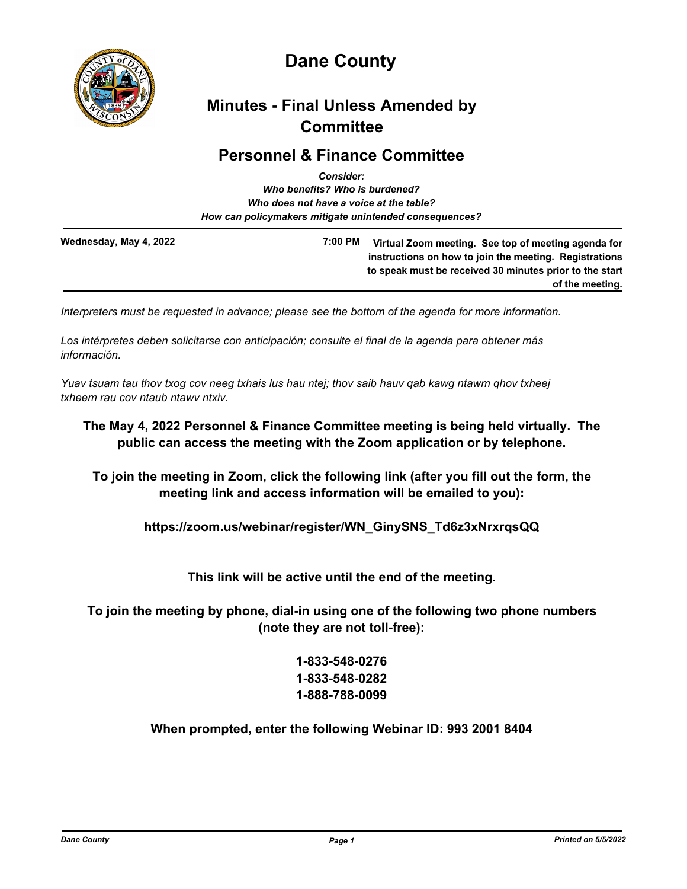

# **Dane County**

# **Minutes - Final Unless Amended by Committee**

# **Personnel & Finance Committee**

|                        | <b>Consider:</b>                                       |                                                                                                                                                                                             |
|------------------------|--------------------------------------------------------|---------------------------------------------------------------------------------------------------------------------------------------------------------------------------------------------|
|                        | Who benefits? Who is burdened?                         |                                                                                                                                                                                             |
|                        | Who does not have a voice at the table?                |                                                                                                                                                                                             |
|                        | How can policymakers mitigate unintended consequences? |                                                                                                                                                                                             |
| Wednesday, May 4, 2022 | 7:00 PM                                                | Virtual Zoom meeting. See top of meeting agenda for<br>instructions on how to join the meeting. Registrations<br>to speak must be received 30 minutes prior to the start<br>of the meeting. |

*Interpreters must be requested in advance; please see the bottom of the agenda for more information.*

*Los intérpretes deben solicitarse con anticipación; consulte el final de la agenda para obtener más información.*

*Yuav tsuam tau thov txog cov neeg txhais lus hau ntej; thov saib hauv qab kawg ntawm qhov txheej txheem rau cov ntaub ntawv ntxiv.*

## **The May 4, 2022 Personnel & Finance Committee meeting is being held virtually. The public can access the meeting with the Zoom application or by telephone.**

**To join the meeting in Zoom, click the following link (after you fill out the form, the meeting link and access information will be emailed to you):**

**https://zoom.us/webinar/register/WN\_GinySNS\_Td6z3xNrxrqsQQ**

**This link will be active until the end of the meeting.**

**To join the meeting by phone, dial-in using one of the following two phone numbers (note they are not toll-free):**

> **1-833-548-0276 1-833-548-0282 1-888-788-0099**

**When prompted, enter the following Webinar ID: 993 2001 8404**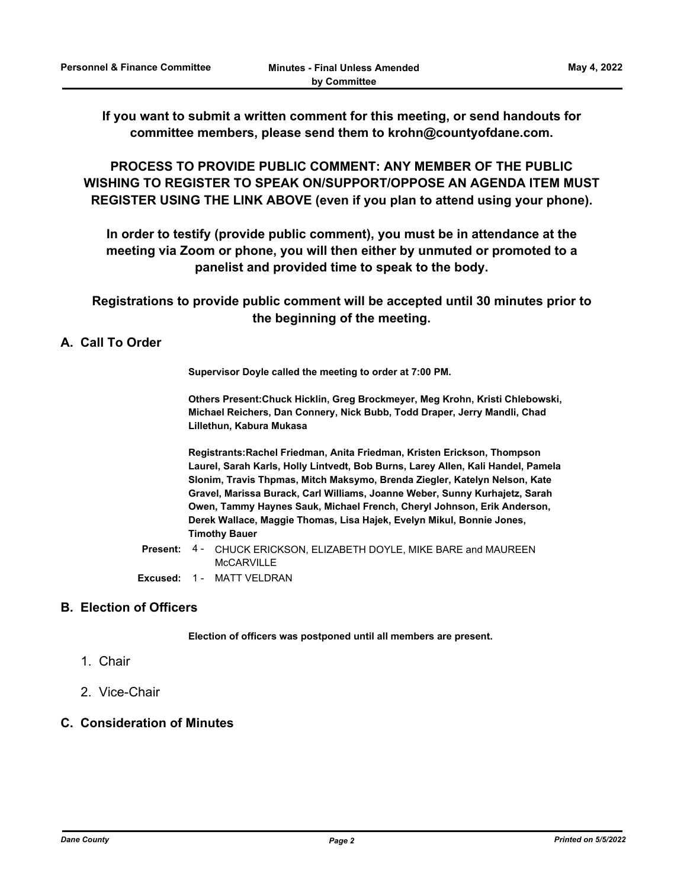**If you want to submit a written comment for this meeting, or send handouts for committee members, please send them to krohn@countyofdane.com.**

**PROCESS TO PROVIDE PUBLIC COMMENT: ANY MEMBER OF THE PUBLIC WISHING TO REGISTER TO SPEAK ON/SUPPORT/OPPOSE AN AGENDA ITEM MUST REGISTER USING THE LINK ABOVE (even if you plan to attend using your phone).**

**In order to testify (provide public comment), you must be in attendance at the meeting via Zoom or phone, you will then either by unmuted or promoted to a panelist and provided time to speak to the body.**

**Registrations to provide public comment will be accepted until 30 minutes prior to the beginning of the meeting.**

## **A. Call To Order**

**Supervisor Doyle called the meeting to order at 7:00 PM.**

**Others Present:Chuck Hicklin, Greg Brockmeyer, Meg Krohn, Kristi Chlebowski, Michael Reichers, Dan Connery, Nick Bubb, Todd Draper, Jerry Mandli, Chad Lillethun, Kabura Mukasa**

**Registrants:Rachel Friedman, Anita Friedman, Kristen Erickson, Thompson Laurel, Sarah Karls, Holly Lintvedt, Bob Burns, Larey Allen, Kali Handel, Pamela Slonim, Travis Thpmas, Mitch Maksymo, Brenda Ziegler, Katelyn Nelson, Kate Gravel, Marissa Burack, Carl Williams, Joanne Weber, Sunny Kurhajetz, Sarah Owen, Tammy Haynes Sauk, Michael French, Cheryl Johnson, Erik Anderson, Derek Wallace, Maggie Thomas, Lisa Hajek, Evelyn Mikul, Bonnie Jones, Timothy Bauer**

Present: 4 - CHUCK ERICKSON, ELIZABETH DOYLE, MIKE BARE and MAUREEN McCARVILLE **Excused:** 1 - MATT VELDRAN

## **B. Election of Officers**

**Election of officers was postponed until all members are present.**

- 1. Chair
- 2. Vice-Chair

## **C. Consideration of Minutes**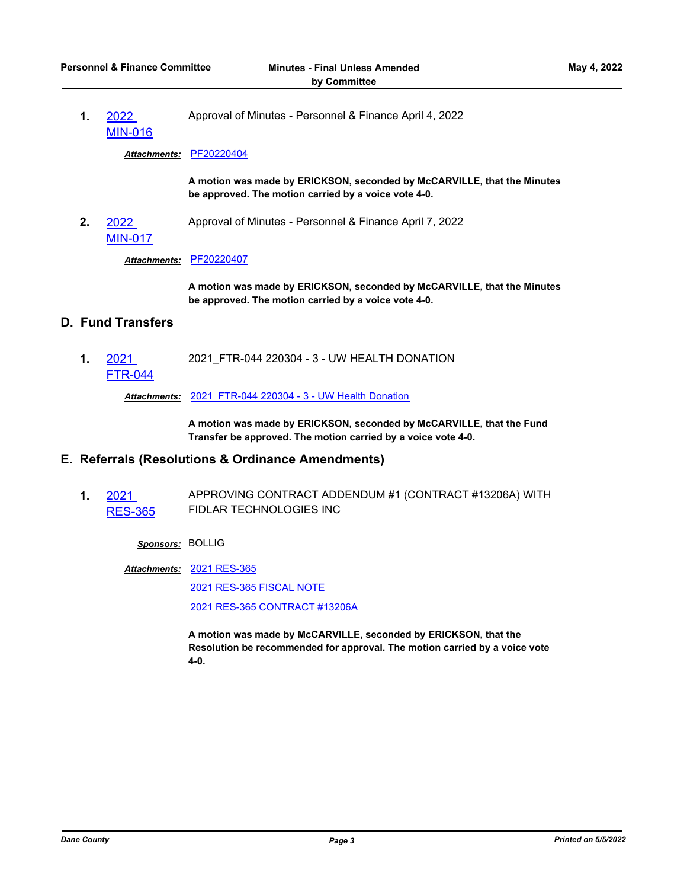**1.** 2022 [MIN-016](http://dane.legistar.com/gateway.aspx?m=l&id=/matter.aspx?key=22729) Approval of Minutes - Personnel & Finance April 4, 2022

*Attachments:* [PF20220404](http://dane.legistar.com/gateway.aspx?M=F&ID=93037337-90de-47d4-a1c0-3369f13cd620.pdf)

**A motion was made by ERICKSON, seconded by McCARVILLE, that the Minutes be approved. The motion carried by a voice vote 4-0.**

**2.** 2022 [MIN-017](http://dane.legistar.com/gateway.aspx?m=l&id=/matter.aspx?key=22730) Approval of Minutes - Personnel & Finance April 7, 2022

*Attachments:* [PF20220407](http://dane.legistar.com/gateway.aspx?M=F&ID=161e8a8b-c9d8-47b4-83c6-e377cd060c6b.pdf)

**A motion was made by ERICKSON, seconded by McCARVILLE, that the Minutes be approved. The motion carried by a voice vote 4-0.**

## **D. Fund Transfers**

**1.** 2021 [FTR-044](http://dane.legistar.com/gateway.aspx?m=l&id=/matter.aspx?key=22614) 2021\_FTR-044 220304 - 3 - UW HEALTH DONATION

*Attachments:* [2021\\_FTR-044 220304 - 3 - UW Health Donation](http://dane.legistar.com/gateway.aspx?M=F&ID=d6e45df9-1a16-4ab8-ac1b-22112ba9ff36.pdf)

**A motion was made by ERICKSON, seconded by McCARVILLE, that the Fund Transfer be approved. The motion carried by a voice vote 4-0.**

## **E. Referrals (Resolutions & Ordinance Amendments)**

**1.** 2021 [RES-365](http://dane.legistar.com/gateway.aspx?m=l&id=/matter.aspx?key=22265) APPROVING CONTRACT ADDENDUM #1 (CONTRACT #13206A) WITH FIDLAR TECHNOLOGIES INC

*Sponsors:* BOLLIG

[2021 RES-365](http://dane.legistar.com/gateway.aspx?M=F&ID=d0960857-1e70-4766-8046-b7b690918e71.pdf) *Attachments:*

[2021 RES-365 FISCAL NOTE](http://dane.legistar.com/gateway.aspx?M=F&ID=4d7b3b7f-00be-4d9a-939e-ff8a55486a60.pdf) [2021 RES-365 CONTRACT #13206A](http://dane.legistar.com/gateway.aspx?M=F&ID=ca076648-f517-4f93-870e-e5cbc5b1509d.pdf)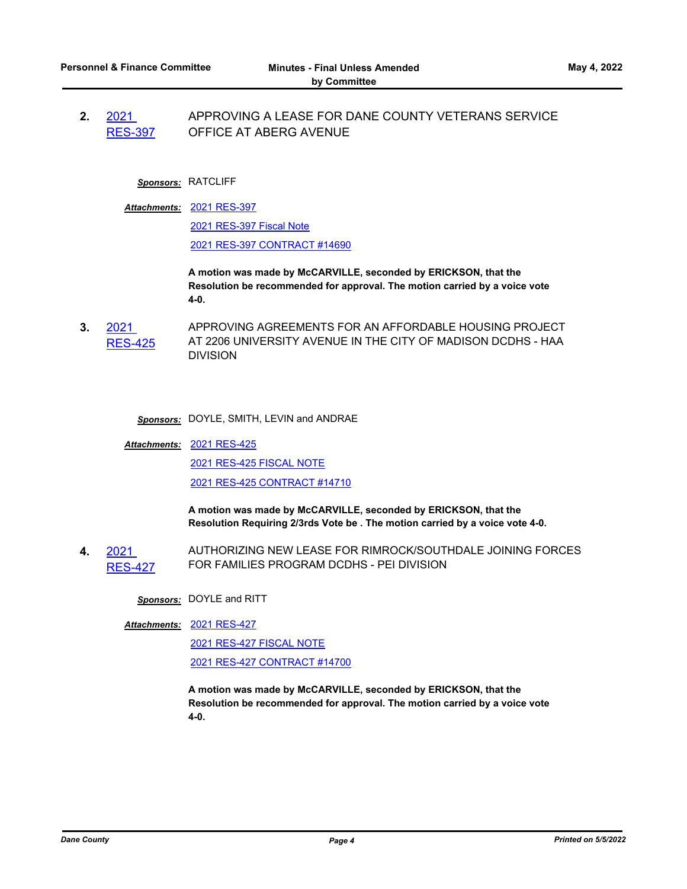**2.** 2021 [RES-397](http://dane.legistar.com/gateway.aspx?m=l&id=/matter.aspx?key=22409) APPROVING A LEASE FOR DANE COUNTY VETERANS SERVICE OFFICE AT ABERG AVENUE

#### *Sponsors:* RATCLIFF

[2021 RES-397](http://dane.legistar.com/gateway.aspx?M=F&ID=6d0b2d38-fd17-4d1c-ba6d-8d97829333de.pdf) *Attachments:*

[2021 RES-397 Fiscal Note](http://dane.legistar.com/gateway.aspx?M=F&ID=c7dbfac1-bbb4-4ed9-9daa-7ee881a80473.pdf)

[2021 RES-397 CONTRACT #14690](http://dane.legistar.com/gateway.aspx?M=F&ID=d735937b-7501-4922-849a-4d417dd23924.pdf)

**A motion was made by McCARVILLE, seconded by ERICKSON, that the Resolution be recommended for approval. The motion carried by a voice vote 4-0.**

- **3.** 2021 [RES-425](http://dane.legistar.com/gateway.aspx?m=l&id=/matter.aspx?key=22606) APPROVING AGREEMENTS FOR AN AFFORDABLE HOUSING PROJECT AT 2206 UNIVERSITY AVENUE IN THE CITY OF MADISON DCDHS - HAA **DIVISION** 
	- *Sponsors:* DOYLE, SMITH, LEVIN and ANDRAE

[2021 RES-425](http://dane.legistar.com/gateway.aspx?M=F&ID=ec1ceeea-b538-4083-a7a2-40a507f46d47.pdf) *Attachments:* [2021 RES-425 FISCAL NOTE](http://dane.legistar.com/gateway.aspx?M=F&ID=2fb95302-aa7b-4cf0-bab5-7c71158d3255.pdf) [2021 RES-425 CONTRACT #14710](http://dane.legistar.com/gateway.aspx?M=F&ID=397c0c4a-0a5b-4a57-9455-89bf308bf431.pdf)

> **A motion was made by McCARVILLE, seconded by ERICKSON, that the Resolution Requiring 2/3rds Vote be . The motion carried by a voice vote 4-0.**

**4.** 2021 [RES-427](http://dane.legistar.com/gateway.aspx?m=l&id=/matter.aspx?key=22613) AUTHORIZING NEW LEASE FOR RIMROCK/SOUTHDALE JOINING FORCES FOR FAMILIES PROGRAM DCDHS - PEI DIVISION

*Sponsors:* DOYLE and RITT

[2021 RES-427](http://dane.legistar.com/gateway.aspx?M=F&ID=fc124922-bb85-40bf-a6cc-747dcb0ff6aa.pdf) *Attachments:*

[2021 RES-427 FISCAL NOTE](http://dane.legistar.com/gateway.aspx?M=F&ID=fbd884f2-a066-4ae9-bfa7-d1f177f2d97d.pdf) [2021 RES-427 CONTRACT #14700](http://dane.legistar.com/gateway.aspx?M=F&ID=ed49fa83-686a-4bc9-8553-ece18796ee7a.pdf)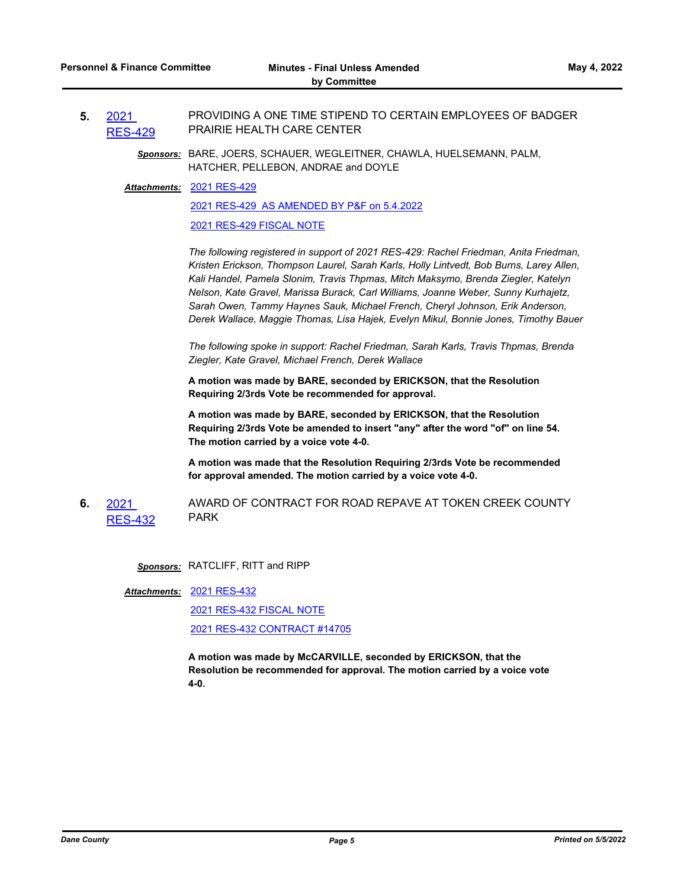- **5.** 2021 [RES-429](http://dane.legistar.com/gateway.aspx?m=l&id=/matter.aspx?key=22640) PROVIDING A ONE TIME STIPEND TO CERTAIN EMPLOYEES OF BADGER PRAIRIE HEALTH CARE CENTER
	- *Sponsors:* BARE, JOERS, SCHAUER, WEGLEITNER, CHAWLA, HUELSEMANN, PALM, HATCHER, PELLEBON, ANDRAE and DOYLE

#### [2021 RES-429](http://dane.legistar.com/gateway.aspx?M=F&ID=89c34ba4-6d17-45ea-bc1d-39287fa134a6.pdf) *Attachments:*

[2021 RES-429 AS AMENDED BY P&F on 5.4.2022](http://dane.legistar.com/gateway.aspx?M=F&ID=d86cd080-b442-47d7-bdde-2c635cf29693.pdf)

#### [2021 RES-429 FISCAL NOTE](http://dane.legistar.com/gateway.aspx?M=F&ID=983250d6-4670-4983-baab-7c8681df043e.pdf)

*The following registered in support of 2021 RES-429: Rachel Friedman, Anita Friedman, Kristen Erickson, Thompson Laurel, Sarah Karls, Holly Lintvedt, Bob Burns, Larey Allen, Kali Handel, Pamela Slonim, Travis Thpmas, Mitch Maksymo, Brenda Ziegler, Katelyn Nelson, Kate Gravel, Marissa Burack, Carl Williams, Joanne Weber, Sunny Kurhajetz, Sarah Owen, Tammy Haynes Sauk, Michael French, Cheryl Johnson, Erik Anderson, Derek Wallace, Maggie Thomas, Lisa Hajek, Evelyn Mikul, Bonnie Jones, Timothy Bauer*

*The following spoke in support: Rachel Friedman, Sarah Karls, Travis Thpmas, Brenda Ziegler, Kate Gravel, Michael French, Derek Wallace*

**A motion was made by BARE, seconded by ERICKSON, that the Resolution Requiring 2/3rds Vote be recommended for approval.**

**A motion was made by BARE, seconded by ERICKSON, that the Resolution Requiring 2/3rds Vote be amended to insert "any" after the word "of" on line 54. The motion carried by a voice vote 4-0.**

**A motion was made that the Resolution Requiring 2/3rds Vote be recommended for approval amended. The motion carried by a voice vote 4-0.**

**6.** 2021 [RES-432](http://dane.legistar.com/gateway.aspx?m=l&id=/matter.aspx?key=22662) AWARD OF CONTRACT FOR ROAD REPAVE AT TOKEN CREEK COUNTY PARK

*Sponsors:* RATCLIFF, RITT and RIPP

[2021 RES-432](http://dane.legistar.com/gateway.aspx?M=F&ID=bcdc821a-0922-4e91-8e51-c210d7dc99a9.pdf) *Attachments:*

[2021 RES-432 FISCAL NOTE](http://dane.legistar.com/gateway.aspx?M=F&ID=b7de5677-f6b4-469b-8b1c-9cf5a38b6cdf.pdf) [2021 RES-432 CONTRACT #14705](http://dane.legistar.com/gateway.aspx?M=F&ID=95848073-44ec-4d78-bd64-59775a05e238.pdf)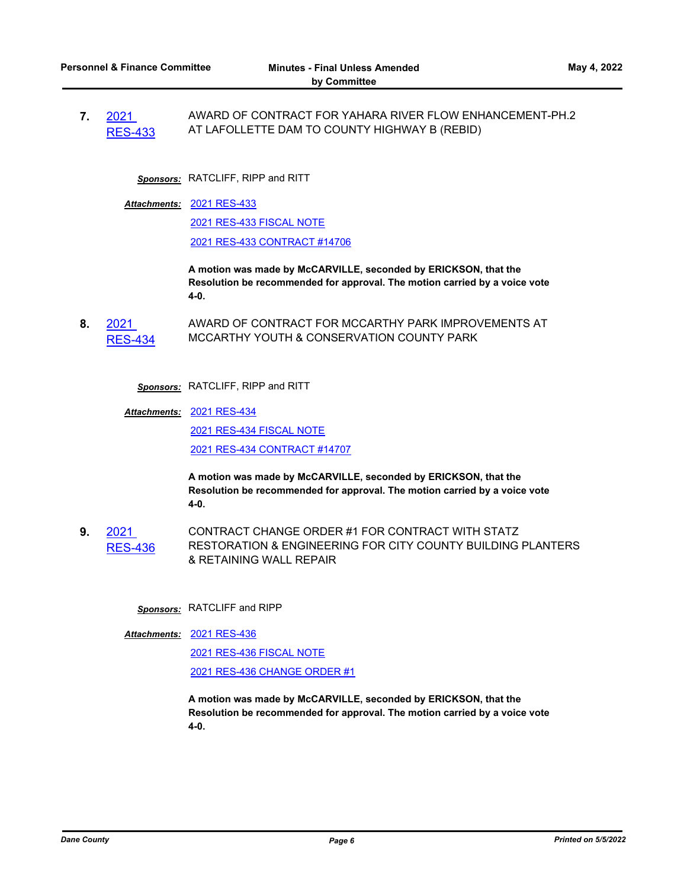**7.** 2021 [RES-433](http://dane.legistar.com/gateway.aspx?m=l&id=/matter.aspx?key=22663) AWARD OF CONTRACT FOR YAHARA RIVER FLOW ENHANCEMENT-PH.2 AT LAFOLLETTE DAM TO COUNTY HIGHWAY B (REBID)

*Sponsors:* RATCLIFF, RIPP and RITT

[2021 RES-433](http://dane.legistar.com/gateway.aspx?M=F&ID=eb58bb64-4421-4a7f-be0f-16d615008afa.pdf) *Attachments:* [2021 RES-433 FISCAL NOTE](http://dane.legistar.com/gateway.aspx?M=F&ID=3ab90c45-2673-4d35-84ac-d94d722a3808.pdf) [2021 RES-433 CONTRACT #14706](http://dane.legistar.com/gateway.aspx?M=F&ID=7e720ef2-2dcf-4ce9-84a9-079c1103609f.pdf)

> **A motion was made by McCARVILLE, seconded by ERICKSON, that the Resolution be recommended for approval. The motion carried by a voice vote 4-0.**

**8.** 2021 [RES-434](http://dane.legistar.com/gateway.aspx?m=l&id=/matter.aspx?key=22664) AWARD OF CONTRACT FOR MCCARTHY PARK IMPROVEMENTS AT MCCARTHY YOUTH & CONSERVATION COUNTY PARK

*Sponsors:* RATCLIFF, RIPP and RITT

[2021 RES-434](http://dane.legistar.com/gateway.aspx?M=F&ID=6d465394-8271-48d5-98a5-3fa53f9d9cb1.pdf) *Attachments:*

[2021 RES-434 FISCAL NOTE](http://dane.legistar.com/gateway.aspx?M=F&ID=cc0ebd60-02f2-4243-ab08-9e1a348c3a19.pdf)

[2021 RES-434 CONTRACT #14707](http://dane.legistar.com/gateway.aspx?M=F&ID=954e8f7a-ac90-451f-91d7-16fc14835788.pdf)

**A motion was made by McCARVILLE, seconded by ERICKSON, that the Resolution be recommended for approval. The motion carried by a voice vote 4-0.**

**9.** 2021 [RES-436](http://dane.legistar.com/gateway.aspx?m=l&id=/matter.aspx?key=22666) CONTRACT CHANGE ORDER #1 FOR CONTRACT WITH STATZ RESTORATION & ENGINEERING FOR CITY COUNTY BUILDING PLANTERS & RETAINING WALL REPAIR

*Sponsors:* RATCLIFF and RIPP

[2021 RES-436](http://dane.legistar.com/gateway.aspx?M=F&ID=367e3d08-8ffa-4d94-a3ee-d7758fb45209.pdf) *Attachments:*

[2021 RES-436 FISCAL NOTE](http://dane.legistar.com/gateway.aspx?M=F&ID=a4fc6e02-ead2-428b-a528-13d8b3cdbbd8.pdf) [2021 RES-436 CHANGE ORDER #1](http://dane.legistar.com/gateway.aspx?M=F&ID=bcbf6605-32db-4bfd-8ceb-54fed7e496cd.pdf)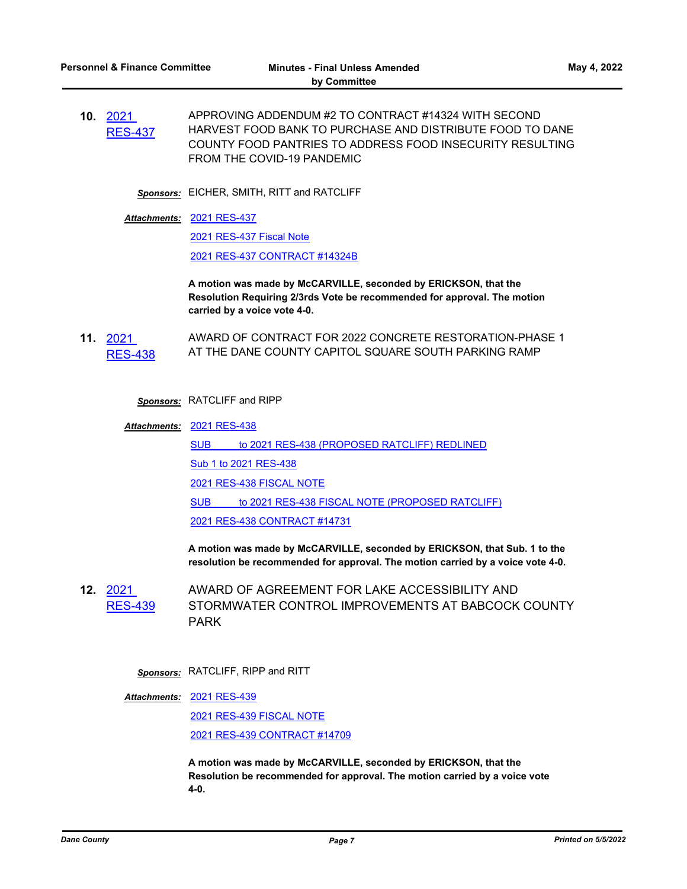*Sponsors:* EICHER, SMITH, RITT and RATCLIFF

[2021 RES-437](http://dane.legistar.com/gateway.aspx?M=F&ID=354bf12b-dc4f-4347-b3fb-20efa3360993.pdf) *Attachments:*

[2021 RES-437 Fiscal Note](http://dane.legistar.com/gateway.aspx?M=F&ID=06abd80b-f00f-4eed-bd3a-fda47606a379.pdf)

[2021 RES-437 CONTRACT #14324B](http://dane.legistar.com/gateway.aspx?M=F&ID=24af0c93-a08f-4f41-9402-a608114b5607.pdf)

**A motion was made by McCARVILLE, seconded by ERICKSON, that the Resolution Requiring 2/3rds Vote be recommended for approval. The motion carried by a voice vote 4-0.**

**11.** 2021 [RES-438](http://dane.legistar.com/gateway.aspx?m=l&id=/matter.aspx?key=22671) AWARD OF CONTRACT FOR 2022 CONCRETE RESTORATION-PHASE 1 AT THE DANE COUNTY CAPITOL SQUARE SOUTH PARKING RAMP

*Sponsors:* RATCLIFF and RIPP

[2021 RES-438](http://dane.legistar.com/gateway.aspx?M=F&ID=654d373f-65ba-48e8-954e-651293d57936.pdf) *Attachments:* SUB to 2021 RES-438 (PROPOSED RATCLIFF) REDLINED [Sub 1 to 2021 RES-438](http://dane.legistar.com/gateway.aspx?M=F&ID=47d3735f-99fe-42a8-aa46-ee65c730e9af.pdf) [2021 RES-438 FISCAL NOTE](http://dane.legistar.com/gateway.aspx?M=F&ID=04e0ae24-6ead-40a4-9f91-704657d5e553.pdf) SUB to 2021 RES-438 FISCAL NOTE (PROPOSED RATCLIFF) [2021 RES-438 CONTRACT #14731](http://dane.legistar.com/gateway.aspx?M=F&ID=730c8cec-aa8f-45db-b57f-191a4035f2b9.pdf)

> **A motion was made by McCARVILLE, seconded by ERICKSON, that Sub. 1 to the resolution be recommended for approval. The motion carried by a voice vote 4-0.**

**12.** 2021 [RES-439](http://dane.legistar.com/gateway.aspx?m=l&id=/matter.aspx?key=22672) AWARD OF AGREEMENT FOR LAKE ACCESSIBILITY AND STORMWATER CONTROL IMPROVEMENTS AT BABCOCK COUNTY PARK

*Sponsors:* RATCLIFF, RIPP and RITT

[2021 RES-439](http://dane.legistar.com/gateway.aspx?M=F&ID=d895a6b8-b969-463a-b244-cb962a201168.pdf) *Attachments:*

[2021 RES-439 FISCAL NOTE](http://dane.legistar.com/gateway.aspx?M=F&ID=e5871b41-277f-4761-bae0-08df29e9ac51.pdf) [2021 RES-439 CONTRACT #14709](http://dane.legistar.com/gateway.aspx?M=F&ID=e405183e-37b3-48db-9538-1658407eaed1.pdf)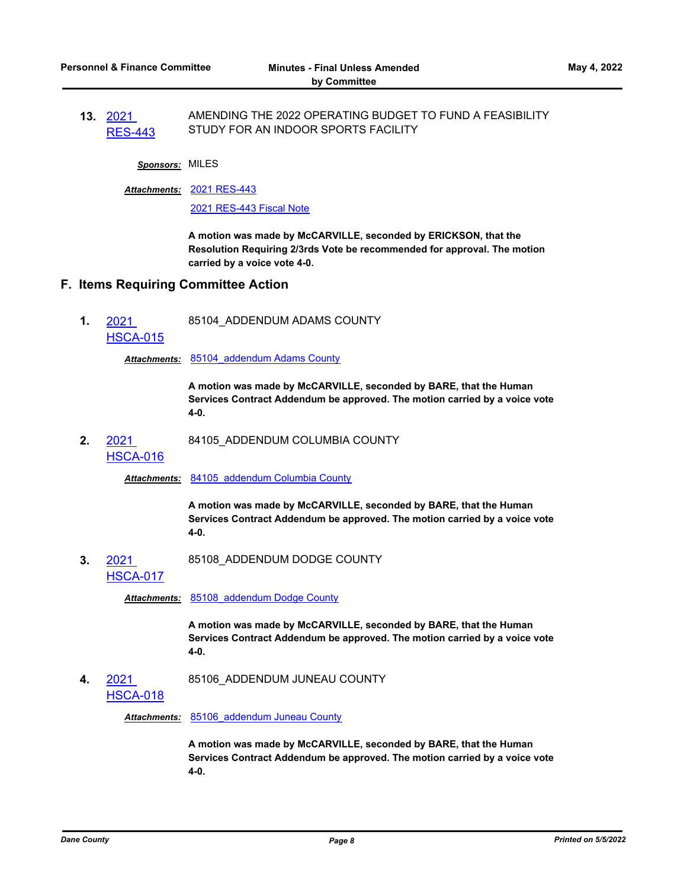**13.** 2021 [RES-443](http://dane.legistar.com/gateway.aspx?m=l&id=/matter.aspx?key=22680) AMENDING THE 2022 OPERATING BUDGET TO FUND A FEASIBILITY STUDY FOR AN INDOOR SPORTS FACILITY

*Sponsors:* MILES

[2021 RES-443](http://dane.legistar.com/gateway.aspx?M=F&ID=72a3635f-e5ce-456d-8898-acf2c09ef782.pdf) *Attachments:*

[2021 RES-443 Fiscal Note](http://dane.legistar.com/gateway.aspx?M=F&ID=36fa448f-0de9-4cac-b23b-68bae2c7f8db.pdf)

**A motion was made by McCARVILLE, seconded by ERICKSON, that the Resolution Requiring 2/3rds Vote be recommended for approval. The motion carried by a voice vote 4-0.**

### **F. Items Requiring Committee Action**

**1.** 2021 [HSCA-015](http://dane.legistar.com/gateway.aspx?m=l&id=/matter.aspx?key=22488) 85104\_ADDENDUM ADAMS COUNTY

*Attachments:* [85104\\_addendum Adams County](http://dane.legistar.com/gateway.aspx?M=F&ID=e96cbc65-f2f8-4227-bed4-25a1b80d8e6b.pdf)

**A motion was made by McCARVILLE, seconded by BARE, that the Human Services Contract Addendum be approved. The motion carried by a voice vote 4-0.**

**2.** 2021 84105\_ADDENDUM COLUMBIA COUNTY

## [HSCA-016](http://dane.legistar.com/gateway.aspx?m=l&id=/matter.aspx?key=22489)

*Attachments:* [84105\\_addendum Columbia County](http://dane.legistar.com/gateway.aspx?M=F&ID=b2c73302-15d4-4c28-bc50-7dea33acf4ce.pdf)

**A motion was made by McCARVILLE, seconded by BARE, that the Human Services Contract Addendum be approved. The motion carried by a voice vote 4-0.**

**3.** 2021 [HSCA-017](http://dane.legistar.com/gateway.aspx?m=l&id=/matter.aspx?key=22490) 85108\_ADDENDUM DODGE COUNTY

*Attachments:* [85108\\_addendum Dodge County](http://dane.legistar.com/gateway.aspx?M=F&ID=b0eb7a02-6b5f-42c9-9fd1-149488462546.pdf)

**A motion was made by McCARVILLE, seconded by BARE, that the Human Services Contract Addendum be approved. The motion carried by a voice vote 4-0.**

**4.** 2021 [HSCA-018](http://dane.legistar.com/gateway.aspx?m=l&id=/matter.aspx?key=22491) 85106\_ADDENDUM JUNEAU COUNTY

*Attachments:* [85106\\_addendum Juneau County](http://dane.legistar.com/gateway.aspx?M=F&ID=fbe905e7-3d18-42e1-99d8-68a439f9fdfd.pdf)

**A motion was made by McCARVILLE, seconded by BARE, that the Human Services Contract Addendum be approved. The motion carried by a voice vote 4-0.**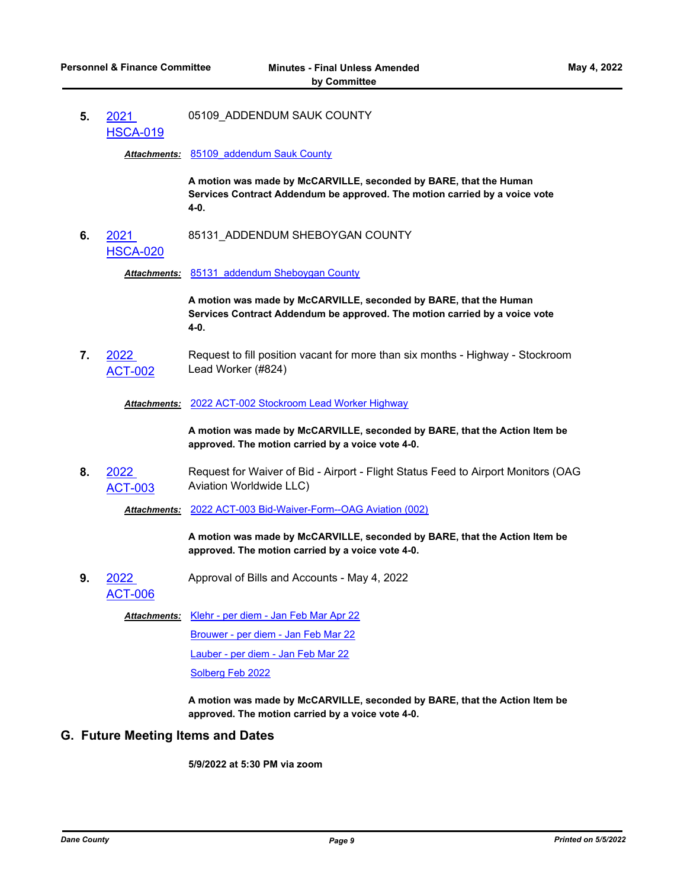**5.** 2021 [HSCA-019](http://dane.legistar.com/gateway.aspx?m=l&id=/matter.aspx?key=22492) 05109\_ADDENDUM SAUK COUNTY

*Attachments:* [85109\\_addendum Sauk County](http://dane.legistar.com/gateway.aspx?M=F&ID=2d141c21-c7e0-4e5e-9d21-fec95899c0cf.pdf)

**A motion was made by McCARVILLE, seconded by BARE, that the Human Services Contract Addendum be approved. The motion carried by a voice vote 4-0.**

**6.** 2021 [HSCA-020](http://dane.legistar.com/gateway.aspx?m=l&id=/matter.aspx?key=22493) 85131\_ADDENDUM SHEBOYGAN COUNTY

*Attachments:* [85131\\_addendum Sheboygan County](http://dane.legistar.com/gateway.aspx?M=F&ID=2f7f3ad4-4c1a-49b5-a41e-1d61be4d9607.pdf)

**A motion was made by McCARVILLE, seconded by BARE, that the Human Services Contract Addendum be approved. The motion carried by a voice vote 4-0.**

**7.** 2022 [ACT-002](http://dane.legistar.com/gateway.aspx?m=l&id=/matter.aspx?key=22707) Request to fill position vacant for more than six months - Highway - Stockroom Lead Worker (#824)

*Attachments:* [2022 ACT-002 Stockroom Lead Worker Highway](http://dane.legistar.com/gateway.aspx?M=F&ID=fc37f4e4-5f2c-4189-bbb8-97d7c3460c0e.pdf)

**A motion was made by McCARVILLE, seconded by BARE, that the Action Item be approved. The motion carried by a voice vote 4-0.**

**8.** 2022 [ACT-003](http://dane.legistar.com/gateway.aspx?m=l&id=/matter.aspx?key=22708) Request for Waiver of Bid - Airport - Flight Status Feed to Airport Monitors (OAG Aviation Worldwide LLC)

*Attachments:* [2022 ACT-003 Bid-Waiver-Form--OAG Aviation \(002\)](http://dane.legistar.com/gateway.aspx?M=F&ID=26e9154a-b005-4331-b9c6-6df8eae07a4b.pdf)

**A motion was made by McCARVILLE, seconded by BARE, that the Action Item be approved. The motion carried by a voice vote 4-0.**

**9.** 2022 Approval of Bills and Accounts - May 4, 2022

[ACT-006](http://dane.legistar.com/gateway.aspx?m=l&id=/matter.aspx?key=22771)

Attachments: [Klehr - per diem - Jan Feb Mar Apr 22](http://dane.legistar.com/gateway.aspx?M=F&ID=8f6282d3-e22d-48df-a522-1972e7e7b403.pdf)

[Brouwer - per diem - Jan Feb Mar 22](http://dane.legistar.com/gateway.aspx?M=F&ID=06c926ad-4b54-4f04-a80e-11d7d01c6d8c.pdf)

[Lauber - per diem - Jan Feb Mar 22](http://dane.legistar.com/gateway.aspx?M=F&ID=a12c010b-8226-4147-bd2f-055af27762e3.pdf)

[Solberg Feb 2022](http://dane.legistar.com/gateway.aspx?M=F&ID=7913caa0-b642-4e77-918a-84442baec30b.pdf)

**A motion was made by McCARVILLE, seconded by BARE, that the Action Item be approved. The motion carried by a voice vote 4-0.**

## **G. Future Meeting Items and Dates**

**5/9/2022 at 5:30 PM via zoom**